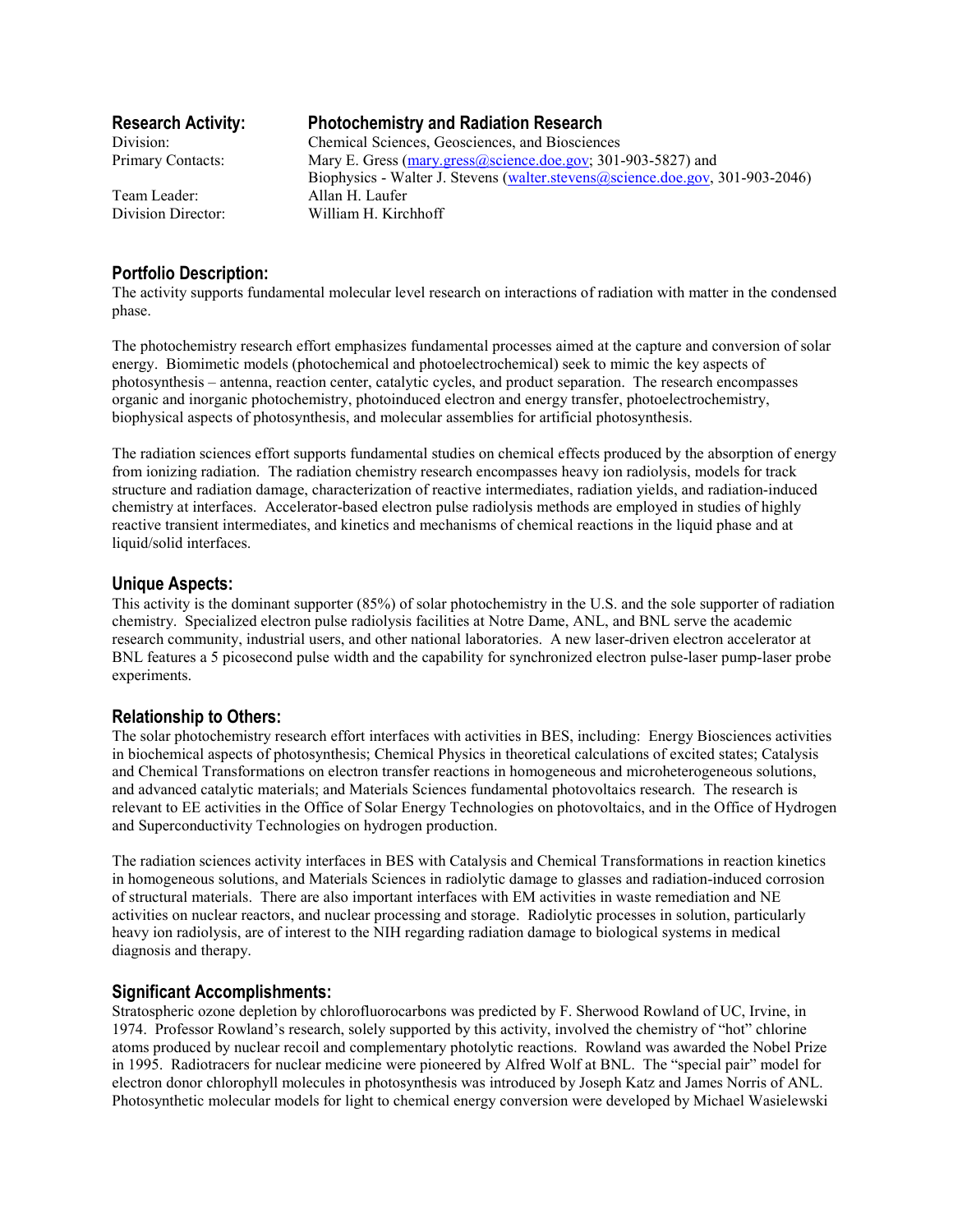Team Leader: Allan H. Laufer

# **Research Activity: Photochemistry and Radiation Research**

Division: Chemical Sciences, Geosciences, and Biosciences Primary Contacts: Mary E. Gress (mary.gress@science.doe.gov; 301-903-5827) and Biophysics - Walter J. Stevens (walter.stevens@science.doe.gov, 301-903-2046) Division Director: William H. Kirchhoff

## **Portfolio Description:**

The activity supports fundamental molecular level research on interactions of radiation with matter in the condensed phase.

The photochemistry research effort emphasizes fundamental processes aimed at the capture and conversion of solar energy. Biomimetic models (photochemical and photoelectrochemical) seek to mimic the key aspects of photosynthesis – antenna, reaction center, catalytic cycles, and product separation. The research encompasses organic and inorganic photochemistry, photoinduced electron and energy transfer, photoelectrochemistry, biophysical aspects of photosynthesis, and molecular assemblies for artificial photosynthesis.

The radiation sciences effort supports fundamental studies on chemical effects produced by the absorption of energy from ionizing radiation. The radiation chemistry research encompasses heavy ion radiolysis, models for track structure and radiation damage, characterization of reactive intermediates, radiation yields, and radiation-induced chemistry at interfaces. Accelerator-based electron pulse radiolysis methods are employed in studies of highly reactive transient intermediates, and kinetics and mechanisms of chemical reactions in the liquid phase and at liquid/solid interfaces.

## **Unique Aspects:**

This activity is the dominant supporter (85%) of solar photochemistry in the U.S. and the sole supporter of radiation chemistry. Specialized electron pulse radiolysis facilities at Notre Dame, ANL, and BNL serve the academic research community, industrial users, and other national laboratories. A new laser-driven electron accelerator at BNL features a 5 picosecond pulse width and the capability for synchronized electron pulse-laser pump-laser probe experiments.

## **Relationship to Others:**

The solar photochemistry research effort interfaces with activities in BES, including: Energy Biosciences activities in biochemical aspects of photosynthesis; Chemical Physics in theoretical calculations of excited states; Catalysis and Chemical Transformations on electron transfer reactions in homogeneous and microheterogeneous solutions, and advanced catalytic materials; and Materials Sciences fundamental photovoltaics research. The research is relevant to EE activities in the Office of Solar Energy Technologies on photovoltaics, and in the Office of Hydrogen and Superconductivity Technologies on hydrogen production.

The radiation sciences activity interfaces in BES with Catalysis and Chemical Transformations in reaction kinetics in homogeneous solutions, and Materials Sciences in radiolytic damage to glasses and radiation-induced corrosion of structural materials. There are also important interfaces with EM activities in waste remediation and NE activities on nuclear reactors, and nuclear processing and storage. Radiolytic processes in solution, particularly heavy ion radiolysis, are of interest to the NIH regarding radiation damage to biological systems in medical diagnosis and therapy.

## **Significant Accomplishments:**

Stratospheric ozone depletion by chlorofluorocarbons was predicted by F. Sherwood Rowland of UC, Irvine, in 1974. Professor Rowland's research, solely supported by this activity, involved the chemistry of "hot" chlorine atoms produced by nuclear recoil and complementary photolytic reactions. Rowland was awarded the Nobel Prize in 1995. Radiotracers for nuclear medicine were pioneered by Alfred Wolf at BNL. The "special pair" model for electron donor chlorophyll molecules in photosynthesis was introduced by Joseph Katz and James Norris of ANL. Photosynthetic molecular models for light to chemical energy conversion were developed by Michael Wasielewski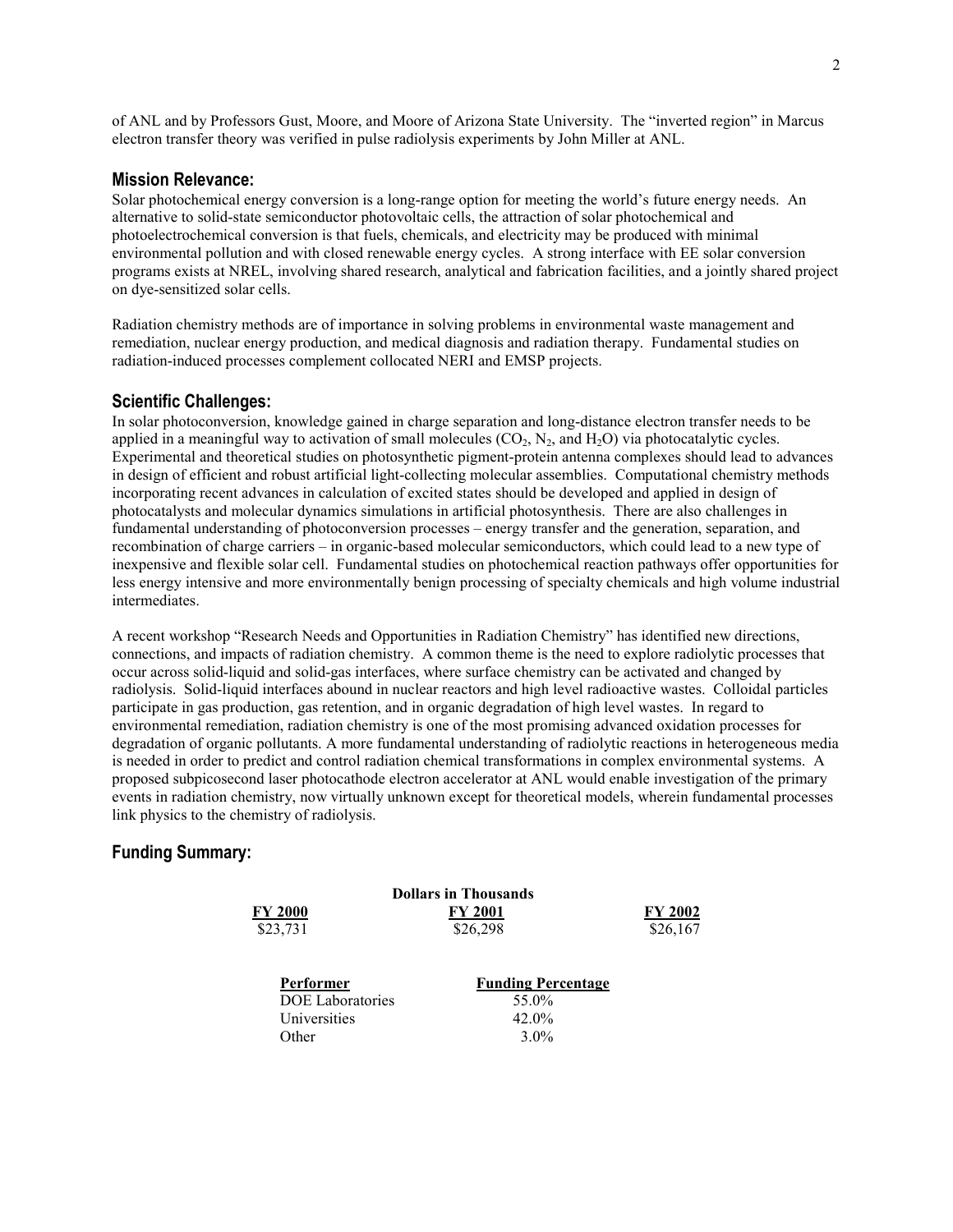of ANL and by Professors Gust, Moore, and Moore of Arizona State University. The "inverted region" in Marcus electron transfer theory was verified in pulse radiolysis experiments by John Miller at ANL.

#### **Mission Relevance:**

Solar photochemical energy conversion is a long-range option for meeting the world's future energy needs. An alternative to solid-state semiconductor photovoltaic cells, the attraction of solar photochemical and photoelectrochemical conversion is that fuels, chemicals, and electricity may be produced with minimal environmental pollution and with closed renewable energy cycles. A strong interface with EE solar conversion programs exists at NREL, involving shared research, analytical and fabrication facilities, and a jointly shared project on dye-sensitized solar cells.

Radiation chemistry methods are of importance in solving problems in environmental waste management and remediation, nuclear energy production, and medical diagnosis and radiation therapy. Fundamental studies on radiation-induced processes complement collocated NERI and EMSP projects.

#### **Scientific Challenges:**

In solar photoconversion, knowledge gained in charge separation and long-distance electron transfer needs to be applied in a meaningful way to activation of small molecules  $(CO_2, N_2, M_1)$  and  $H_2O$ ) via photocatalytic cycles. Experimental and theoretical studies on photosynthetic pigment-protein antenna complexes should lead to advances in design of efficient and robust artificial light-collecting molecular assemblies. Computational chemistry methods incorporating recent advances in calculation of excited states should be developed and applied in design of photocatalysts and molecular dynamics simulations in artificial photosynthesis. There are also challenges in fundamental understanding of photoconversion processes – energy transfer and the generation, separation, and recombination of charge carriers – in organic-based molecular semiconductors, which could lead to a new type of inexpensive and flexible solar cell. Fundamental studies on photochemical reaction pathways offer opportunities for less energy intensive and more environmentally benign processing of specialty chemicals and high volume industrial intermediates.

A recent workshop "Research Needs and Opportunities in Radiation Chemistry" has identified new directions, connections, and impacts of radiation chemistry. A common theme is the need to explore radiolytic processes that occur across solid-liquid and solid-gas interfaces, where surface chemistry can be activated and changed by radiolysis. Solid-liquid interfaces abound in nuclear reactors and high level radioactive wastes. Colloidal particles participate in gas production, gas retention, and in organic degradation of high level wastes. In regard to environmental remediation, radiation chemistry is one of the most promising advanced oxidation processes for degradation of organic pollutants. A more fundamental understanding of radiolytic reactions in heterogeneous media is needed in order to predict and control radiation chemical transformations in complex environmental systems. A proposed subpicosecond laser photocathode electron accelerator at ANL would enable investigation of the primary events in radiation chemistry, now virtually unknown except for theoretical models, wherein fundamental processes link physics to the chemistry of radiolysis.

### **Funding Summary:**

| <b>FY 2000</b><br>\$23,731                                    | <b>Dollars in Thousands</b><br><b>FY 2001</b><br>\$26,298 | FY 2002<br>\$26,167 |
|---------------------------------------------------------------|-----------------------------------------------------------|---------------------|
| Performer<br><b>DOE</b> Laboratories<br>Universities<br>Other | <b>Funding Percentage</b><br>55.0%<br>$42.0\%$<br>$3.0\%$ |                     |